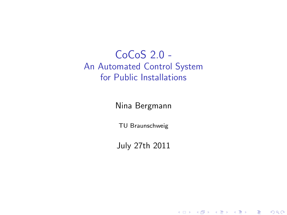### CoCoS 2.0 - An Automated Control System for Public Installations

Nina Bergmann

TU Braunschweig

July 27th 2011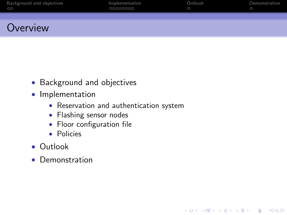| Background and objectives<br>$\circ$ | Implementation<br>00000000 | Outlook | Demonstration |
|--------------------------------------|----------------------------|---------|---------------|
| 0.000                                |                            |         |               |

- Background and objectives
- Implementation
	- Reservation and authentication system
	- Flashing sensor nodes
	- Floor configuration file
	- Policies
- Outlook

Overview

• Demonstration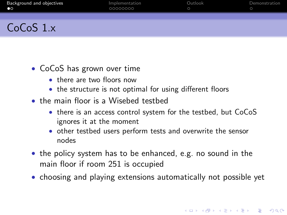| Background and objectives<br>$\bullet$ | Implementation<br>00000000 | Outlook | Demonstration |
|----------------------------------------|----------------------------|---------|---------------|
| $CoCoS$ 1. $x$                         |                            |         |               |

- CoCoS has grown over time
	- there are two floors now
	- the structure is not optimal for using different floors
- the main floor is a Wisebed testbed
	- there is an access control system for the testbed, but CoCoS ignores it at the moment
	- other testbed users perform tests and overwrite the sensor nodes
- the policy system has to be enhanced, e.g. no sound in the main floor if room 251 is occupied
- <span id="page-2-0"></span>• choosing and playing extensions automatically not possible yet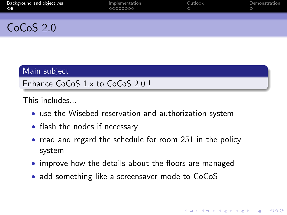| Background and objectives<br>$\circ \bullet$ | Implementation<br>00000000 | Outlook | Demonstration |
|----------------------------------------------|----------------------------|---------|---------------|
| $CoCoS$ 2.0                                  |                            |         |               |

#### Main subject

#### Enhance CoCoS 1.x to CoCoS 2.0 !

This includes...

- use the Wisebed reservation and authorization system
- flash the nodes if necessary
- read and regard the schedule for room 251 in the policy system

**KORK ERKER ADE YOUR** 

- improve how the details about the floors are managed
- add something like a screensaver mode to CoCoS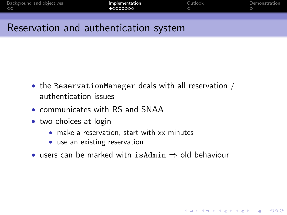| Background and objectives | Implementation | Outlook | Demonstration |
|---------------------------|----------------|---------|---------------|
| ററ                        | 0000000        |         |               |
|                           |                |         |               |

### Reservation and authentication system

- the ReservationManager deals with all reservation / authentication issues
- communicates with RS and SNAA
- two choices at login
	- make a reservation, start with xx minutes
	- use an existing reservation
- <span id="page-4-0"></span>• users can be marked with is Admin  $\Rightarrow$  old behaviour

K ロ ▶ K @ ▶ K 할 ▶ K 할 ▶ 이 할 → 9 Q @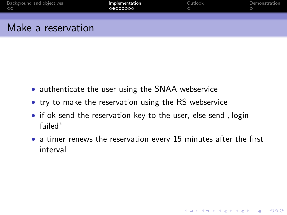| Background and objectives<br>$\circ$ | Implementation<br><b>. റൈററററ</b> | Outlook | Demonstration |
|--------------------------------------|-----------------------------------|---------|---------------|
|                                      |                                   |         |               |
| Make a reservation                   |                                   |         |               |

- authenticate the user using the SNAA webservice
- try to make the reservation using the RS webservice
- if ok send the reservation key to the user, else send "login<br>failed" failed"
- a timer renews the reservation every 15 minutes after the first interval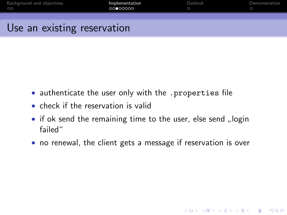| Background and objectives<br>$\circ$ | Implementation<br>00●00000 | Outlook | Demonstration |
|--------------------------------------|----------------------------|---------|---------------|
| Use an existing reservation          |                            |         |               |

- authenticate the user only with the .properties file
	- check if the reservation is valid
	- if ok send the remaining time to the user, else send "login<br>failed" failed"
	- no renewal, the client gets a message if reservation is over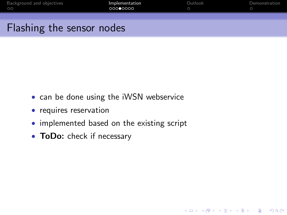| Background and objectives<br>$\circ$ | Implementation<br>00000000 | Outlook | Demonstration |
|--------------------------------------|----------------------------|---------|---------------|
| . Electronic de la companya de la co |                            |         |               |

Flashing the sensor nodes

- can be done using the iWSN webservice
- requires reservation
- implemented based on the existing script
- ToDo: check if necessary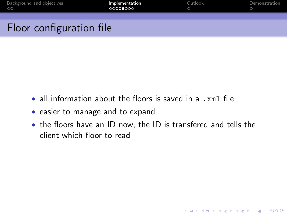| Background and objectives<br>$\circ$ | Implementation<br>00000000 | Outlook | Demonstration |
|--------------------------------------|----------------------------|---------|---------------|
| Floor configuration file             |                            |         |               |

- all information about the floors is saved in a .xml file
- easier to manage and to expand
- the floors have an ID now, the ID is transfered and tells the client which floor to read

K ロ ▶ K @ ▶ K 할 ▶ K 할 ▶ | 할 | © 9 Q @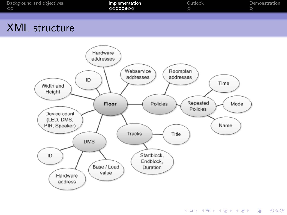| Background and objectives<br>$\circ$ | Implementation<br>ററററൈ∙റെ | Outlook | Demonstration |
|--------------------------------------|----------------------------|---------|---------------|
|                                      |                            |         |               |

# XML structure

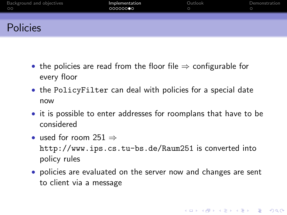| Background and objectives<br>$\circ$ | Implementation<br>00000000 | Outlook | Demonstration |
|--------------------------------------|----------------------------|---------|---------------|
| <b>Policies</b>                      |                            |         |               |

- the policies are read from the floor file  $\Rightarrow$  configurable for every floor
- the PolicyFilter can deal with policies for a special date now
- it is possible to enter addresses for roomplans that have to be considered
- used for room 251  $\Rightarrow$ http://www.ips.cs.tu-bs.de/Raum251 is converted into policy rules
- policies are evaluated on the server now and changes are sent to client via a message

**KORK ERKER ADE YOUR**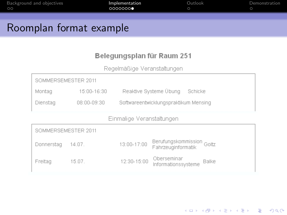| Background and objectives<br>$\circ$ | Implementation<br>0000000 | Outlook | Demonstration |
|--------------------------------------|---------------------------|---------|---------------|
|                                      |                           |         |               |

# Roomplan format example

#### Belegungsplan für Raum 251

Regelmäßige Veranstaltungen

| SOMMERSEMESTER 2011       |             |             |                                             |  |
|---------------------------|-------------|-------------|---------------------------------------------|--|
| Montag                    | 15:00-16:30 |             | Reaktive Systeme Übung<br>Schicke           |  |
| Dienstad                  | 08:00-09:30 |             | Softwareentwicklungspraktikum Mensing       |  |
| Einmalige Veranstaltungen |             |             |                                             |  |
| SOMMERSEMESTER 2011       |             |             |                                             |  |
| Donnerstag                | 14.07.      | 13:00-17:00 | Berufungskommission<br>Fahrzeuginformatik   |  |
| Freitag                   | 15.07.      | 12:30-15:00 | Oberseminar<br>Balke<br>Informationssysteme |  |

K ロ ▶ K @ ▶ K 할 > K 할 > 1 할 > 1 이익어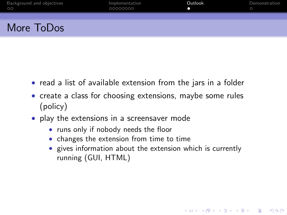| Background and objectives<br>$\circ$ | Implementation<br>00000000 | Outlook | Demonstration |
|--------------------------------------|----------------------------|---------|---------------|
| More ToDos                           |                            |         |               |

- read a list of available extension from the jars in a folder
- create a class for choosing extensions, maybe some rules (policy)
- <span id="page-12-0"></span>• play the extensions in a screensaver mode
	- runs only if nobody needs the floor
	- changes the extension from time to time
	- gives information about the extension which is currently running (GUI, HTML)

K ロ ▶ K @ ▶ K 할 ▶ K 할 ▶ 이 할 → 9 Q @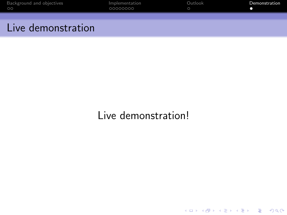| Background and objectives<br>ററ | Implementation<br>00000000 | Outlook | Demonstration |
|---------------------------------|----------------------------|---------|---------------|
|                                 |                            |         |               |

### Live demonstration

# <span id="page-13-0"></span>Live demonstration!

K □ ▶ K @ ▶ K 할 ▶ K 할 ▶ | 할 | K 9 Q Q ·